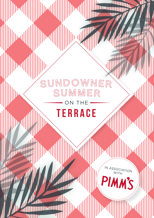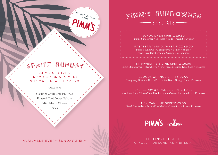# SPRITZ SUNDAY

IN ASSOCIATION

ANY 2 SPRITZES FROM OUR DRINKS MENU & 1 SMALL PLATE FOR £20

*Choose from:*

Garlic & Chilli Chicken Bites Roasted Cauliflower Pakora Mini Mac n Cheese

Fries

# <sup>P</sup>IMM'<sup>S</sup> <sup>S</sup>UNDOWNE<sup>R</sup> -SPECIALS

SUNDOWNER SPRITZ £9.50 Pimm's Sundowner / Prosecco / Soda / Fresh Strawberry

RASPBERRY SUNDOWNER FIZZ £9.00 Pimm's Sundowner / Raspberry / Lemon / Sugar / Fever-Tree Raspberry and Orange Blossom Soda

STRAWBERRY & LIME SPRITZ £9.00 Pimm's Sundowner / Strawberry / Fever-Tree Mexican Lime Soda / Prosecco

BLOODY ORANGE SPRITZ £9.00 Tanqueray Sevilla / Fever-Tree Italian Blood Orange Soda / Prosecco

RASPBERRY & ORANGE SPRITZ £9.00 Gordon's Pink / Fever-Tree Raspberry and Orange Blossom Soda / Prosecco

MEXICAN LIME SPRITZ £9.00 Ketel One Vodka / Fever-Tree Mexican Lime Soda / Lime / Prosecco



AVAILABLE EVERY SUNDAY 2-5PM **AVAILABLE EVERY SUNDAY 2-5PM** TURNOVER FOR SOME TASTY BITES >>>